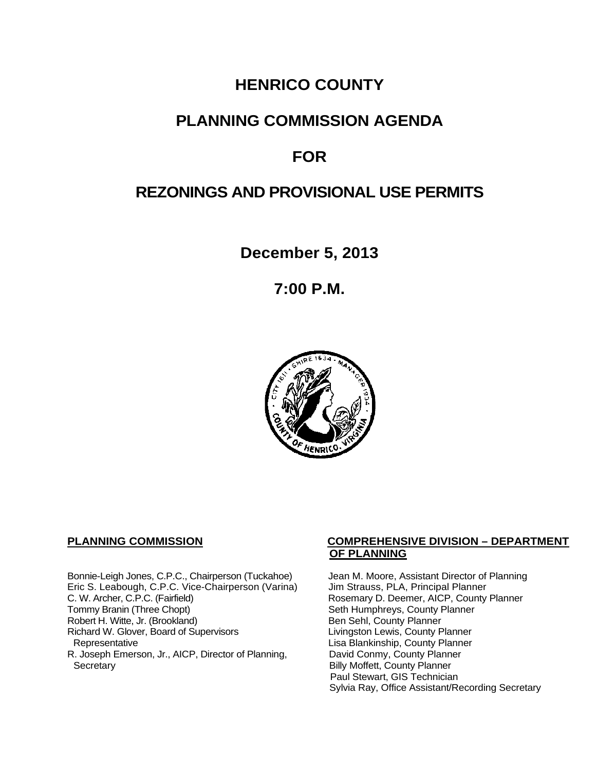## **HENRICO COUNTY**

## **PLANNING COMMISSION AGENDA**

# **FOR**

# **REZONINGS AND PROVISIONAL USE PERMITS**

**December 5, 2013**

**7:00 P.M.**



Bonnie-Leigh Jones, C.P.C., Chairperson (Tuckahoe) Jean M. Moore, Assistant Director of Planning<br>Eric S. Leabough, C.P.C. Vice-Chairperson (Varina) Jim Strauss, PLA, Principal Planner Eric S. Leabough, C.P.C. Vice-Chairperson (Varina)<br>C. W. Archer, C.P.C. (Fairfield) C. W. Archer, C.P.C. (Fairfield) Rosemary D. Deemer, AICP, County Planner<br>Tommy Branin (Three Chopt) Seth Humphreys, County Planner Robert H. Witte, Jr. (Brookland)<br>
Richard W. Glover, Board of Supervisors<br>
Livingston Lewis, County Planner Richard W. Glover, Board of Supervisors<br>Representative R. Joseph Emerson, Jr., AICP, Director of Planning, Secretary

#### **PLANNING COMMISSION COMPREHENSIVE DIVISION – DEPARTMENT OF PLANNING**

Seth Humphreys, County Planner<br>Ben Sehl, County Planner Lisa Blankinship, County Planner<br>David Conmy, County Planner **Billy Moffett, County Planner** Paul Stewart, GIS Technician Sylvia Ray, Office Assistant/Recording Secretary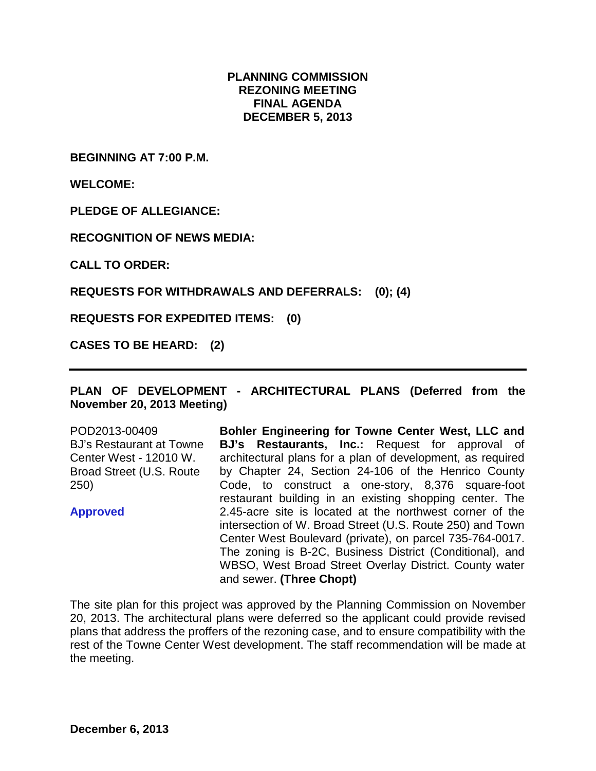#### **PLANNING COMMISSION REZONING MEETING FINAL AGENDA DECEMBER 5, 2013**

**BEGINNING AT 7:00 P.M.**

**WELCOME:**

**PLEDGE OF ALLEGIANCE:**

**RECOGNITION OF NEWS MEDIA:**

**CALL TO ORDER:**

**REQUESTS FOR WITHDRAWALS AND DEFERRALS: (0); (4)**

**REQUESTS FOR EXPEDITED ITEMS: (0)**

**CASES TO BE HEARD: (2)**

#### **PLAN OF DEVELOPMENT - ARCHITECTURAL PLANS (Deferred from the November 20, 2013 Meeting)**

POD2013-00409 BJ's Restaurant at Towne Center West - 12010 W. Broad Street (U.S. Route 250)

**Approved**

**Bohler Engineering for Towne Center West, LLC and BJ's Restaurants, Inc.:** Request for approval of architectural plans for a plan of development, as required by Chapter 24, Section 24-106 of the Henrico County Code, to construct a one-story, 8,376 square-foot restaurant building in an existing shopping center. The 2.45-acre site is located at the northwest corner of the intersection of W. Broad Street (U.S. Route 250) and Town Center West Boulevard (private), on parcel 735-764-0017. The zoning is B-2C, Business District (Conditional), and WBSO, West Broad Street Overlay District. County water and sewer. **(Three Chopt)**

The site plan for this project was approved by the Planning Commission on November 20, 2013. The architectural plans were deferred so the applicant could provide revised plans that address the proffers of the rezoning case, and to ensure compatibility with the rest of the Towne Center West development. The staff recommendation will be made at the meeting.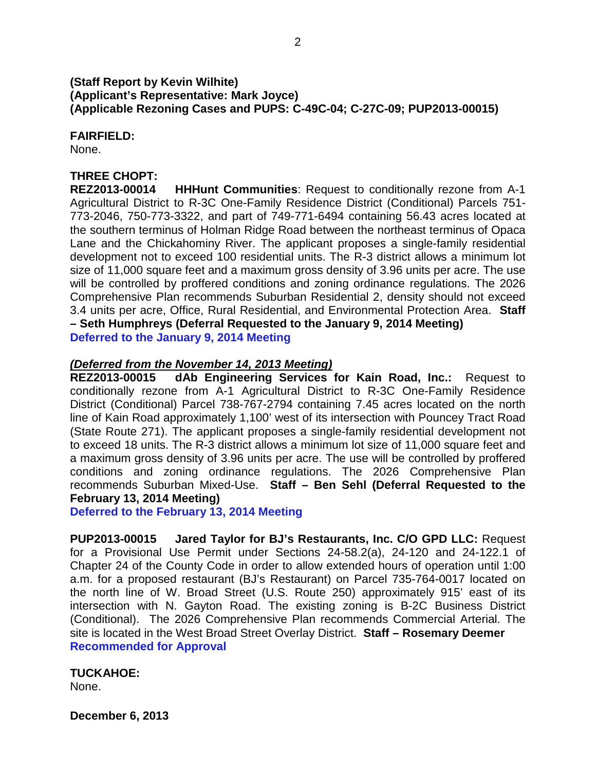### **(Staff Report by Kevin Wilhite) (Applicant's Representative: Mark Joyce) (Applicable Rezoning Cases and PUPS: C-49C-04; C-27C-09; PUP2013-00015)**

**FAIRFIELD:**

None.

## **THREE CHOPT:**

**REZ2013-00014 HHHunt Communities**: Request to conditionally rezone from A-1 Agricultural District to R-3C One-Family Residence District (Conditional) Parcels 751- 773-2046, 750-773-3322, and part of 749-771-6494 containing 56.43 acres located at the southern terminus of Holman Ridge Road between the northeast terminus of Opaca Lane and the Chickahominy River. The applicant proposes a single-family residential development not to exceed 100 residential units. The R-3 district allows a minimum lot size of 11,000 square feet and a maximum gross density of 3.96 units per acre. The use will be controlled by proffered conditions and zoning ordinance regulations. The 2026 Comprehensive Plan recommends Suburban Residential 2, density should not exceed 3.4 units per acre, Office, Rural Residential, and Environmental Protection Area. **Staff – Seth Humphreys (Deferral Requested to the January 9, 2014 Meeting) Deferred to the January 9, 2014 Meeting**

#### *(Deferred from the November 14, 2013 Meeting)*

**REZ2013-00015 dAb Engineering Services for Kain Road, Inc.:** Request to conditionally rezone from A-1 Agricultural District to R-3C One-Family Residence District (Conditional) Parcel 738-767-2794 containing 7.45 acres located on the north line of Kain Road approximately 1,100' west of its intersection with Pouncey Tract Road (State Route 271). The applicant proposes a single-family residential development not to exceed 18 units. The R-3 district allows a minimum lot size of 11,000 square feet and a maximum gross density of 3.96 units per acre. The use will be controlled by proffered conditions and zoning ordinance regulations. The 2026 Comprehensive Plan recommends Suburban Mixed-Use. **Staff – Ben Sehl (Deferral Requested to the February 13, 2014 Meeting)**

**Deferred to the February 13, 2014 Meeting**

**PUP2013-00015 Jared Taylor for BJ's Restaurants, Inc. C/O GPD LLC:** Request for a Provisional Use Permit under Sections 24-58.2(a), 24-120 and 24-122.1 of Chapter 24 of the County Code in order to allow extended hours of operation until 1:00 a.m. for a proposed restaurant (BJ's Restaurant) on Parcel 735-764-0017 located on the north line of W. Broad Street (U.S. Route 250) approximately 915' east of its intersection with N. Gayton Road. The existing zoning is B-2C Business District (Conditional). The 2026 Comprehensive Plan recommends Commercial Arterial. The site is located in the West Broad Street Overlay District. **Staff – Rosemary Deemer Recommended for Approval**

**TUCKAHOE:** None.

**December 6, 2013**